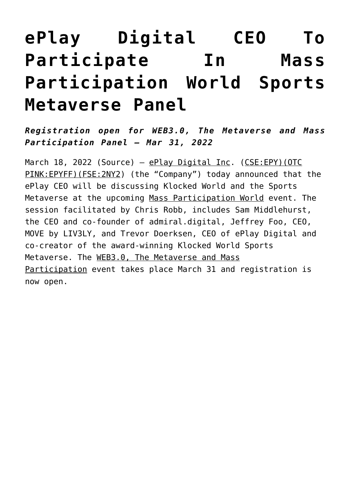## **[ePlay Digital CEO To](https://investorintel.com/markets/esports-gaming/esports-gaming-news/eplay-digital-ceo-to-participate-in-mass-participation-world-sports-metaverse-panel/) [Participate In Mass](https://investorintel.com/markets/esports-gaming/esports-gaming-news/eplay-digital-ceo-to-participate-in-mass-participation-world-sports-metaverse-panel/) [Participation World Sports](https://investorintel.com/markets/esports-gaming/esports-gaming-news/eplay-digital-ceo-to-participate-in-mass-participation-world-sports-metaverse-panel/) [Metaverse Panel](https://investorintel.com/markets/esports-gaming/esports-gaming-news/eplay-digital-ceo-to-participate-in-mass-participation-world-sports-metaverse-panel/)**

*Registration open for WEB3.0, The Metaverse and Mass Participation Panel – Mar 31, 2022*

March 18, 2022 ([Source](https://www.accesswire.com/693695/ePlay-Digital-CEO-To-Participate-In-Mass-Participation-World-Sports-Metaverse-Panel)) – [ePlay Digital Inc.](https://pr.report/5wWzJqlu) [\(CSE:EPY\)](https://pr.report/mA6coJSw)[\(OTC](https://pr.report/Ww6-lj9z) PINK: EPYFF) (FSE: 2NY2) (the "Company") today announced that the ePlay CEO will be discussing Klocked World and the Sports Metaverse at the upcoming [Mass Participation World](https://pr.report/sbSe5pYR) event. The session facilitated by Chris Robb, includes Sam Middlehurst, the CEO and co-founder of admiral.digital, Jeffrey Foo, CEO, MOVE by LIV3LY, and Trevor Doerksen, CEO of ePlay Digital and co-creator of the award-winning Klocked World Sports Metaverse. The [WEB3.0, The Metaverse and Mass](https://pr.report/DQvoZ8HJ) [Participation](https://pr.report/DQvoZ8HJ) event takes place March 31 and registration is now open.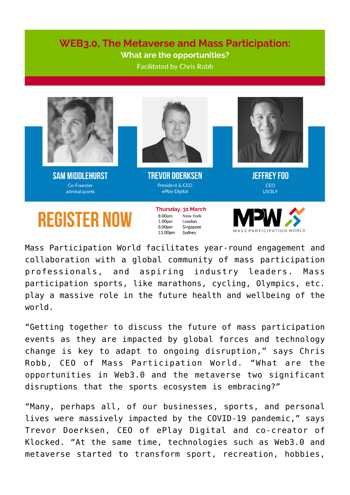## **WEB3.0. The Metaverse and Mass Participation:** What are the opportunities?

**Facilitated by Chris Robb** 



**REGISTER NOW** 

New York 1.00pm London  $8.00<sub>nm</sub>$ Singapore 11.00pm Sydney



Mass Participation World facilitates year-round engagement and collaboration with a global community of mass participation professionals, and aspiring industry leaders. Mass participation sports, like marathons, cycling, Olympics, etc. play a massive role in the future health and wellbeing of the world.

"Getting together to discuss the future of mass participation events as they are impacted by global forces and technology change is key to adapt to ongoing disruption," says Chris Robb, CEO of Mass Participation World. "What are the opportunities in Web3.0 and the metaverse two significant disruptions that the sports ecosystem is embracing?"

"Many, perhaps all, of our businesses, sports, and personal lives were massively impacted by the COVID-19 pandemic," says Trevor Doerksen, CEO of ePlay Digital and co-creator of Klocked. "At the same time, technologies such as Web3.0 and metaverse started to transform sport, recreation, hobbies,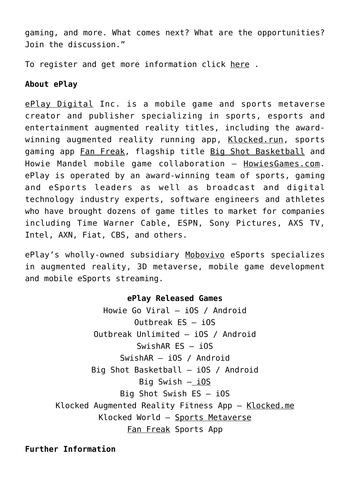gaming, and more. What comes next? What are the opportunities? Join the discussion."

To register and get more information click [here](https://pr.report/z1aAUmvC) .

## **About ePlay**

[ePlay Digital](https://pr.report/lAPWv52S) Inc. is a mobile game and sports metaverse creator and publisher specializing in sports, esports and entertainment augmented reality titles, including the awardwinning augmented reality running app, [Klocked.run](https://pr.report/57hDyBL8), sports gaming app [Fan Freak,](https://pr.report/NQTzIXZG) flagship title [Big Shot Basketball](https://pr.report/O7c5Fsuw) and Howie Mandel mobile game collaboration – [HowiesGames.com.](https://pr.report/5QL87hxH) ePlay is operated by an award-winning team of sports, gaming and eSports leaders as well as broadcast and digital technology industry experts, software engineers and athletes who have brought dozens of game titles to market for companies including Time Warner Cable, ESPN, Sony Pictures, AXS TV, Intel, AXN, Fiat, CBS, and others.

ePlay's wholly-owned subsidiary [Mobovivo](https://pr.report/KEXUJVqj) eSports specializes in augmented reality, 3D metaverse, mobile game development and mobile eSports streaming.

## **ePlay Released Games**

Howie Go Viral – [iOS](https://pr.report/z0v9HiFf) / [Android](https://pr.report/cVm6edxa) Outbreak ES – [iOS](https://pr.report/zlofjL18) Outbreak Unlimited – [iOS](https://pr.report/sRAlz7P1) / [Android](https://pr.report/H4-bsXng) SwishAR ES – [iOS](https://pr.report/b6k9hczp) SwishAR – [iOS](https://pr.report/SAbX4mI-) / [Android](https://pr.report/53JbI8ML) Big Shot Basketball – [iOS](https://pr.report/qpSIQtfH) / [Android](https://pr.report/5lZWn8EH) Big Swish [– iOS](https://pr.report/1z0h8kmt) Big Shot Swish ES – [iOS](https://pr.report/S2Tmj3ER) Klocked Augmented Reality Fitness App – [Klocked.me](https://pr.report/zkBGtZnj) Klocked World – [Sports Metaverse](https://pr.report/tlMP9m2f) [Fan Freak](https://pr.report/J6fw7ugN) Sports App

**Further Information**